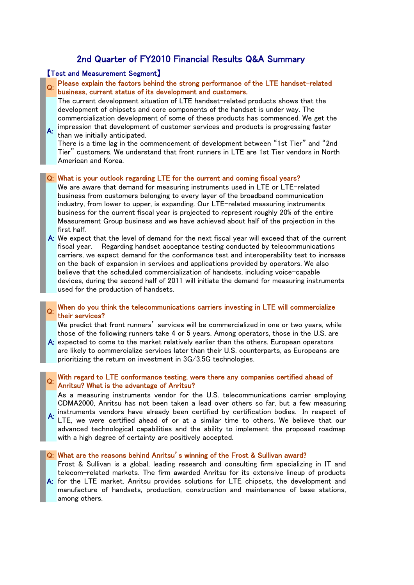# 2nd Quarter of FY2010 Financial Results Q&A Summary

## 【Test and Measurement Segment】

Please explain the factors behind the strong performance of the LTE handset-related business, current status of its development and customers.

The current development situation of LTE handset-related products shows that the development of chipsets and core components of the handset is under way. The commercialization development of some of these products has commenced. We get the impression that development of customer services and products is progressing faster

A: than we initially anticipated. There is a time lag in the commencement of development between "1st Tier" and "2nd Tier" customers. We understand that front runners in LTE are 1st Tier vendors in North American and Korea.

#### Q: What is your outlook regarding LTE for the current and coming fiscal years?

- We are aware that demand for measuring instruments used in LTE or LTE-related business from customers belonging to every layer of the broadband communication industry, from lower to upper, is expanding. Our LTE-related measuring instruments business for the current fiscal year is projected to represent roughly 20% of the entire Measurement Group business and we have achieved about half of the projection in the first half.
- A: We expect that the level of demand for the next fiscal year will exceed that of the current fiscal year. Regarding handset acceptance testing conducted by telecommunications carriers, we expect demand for the conformance test and interoperability test to increase on the back of expansion in services and applications provided by operators. We also believe that the scheduled commercialization of handsets, including voice-capable devices, during the second half of 2011 will initiate the demand for measuring instruments used for the production of handsets.

## Q: When do you think the telecommunications carriers investing in LTE will commercialize their services?

We predict that front runners' services will be commercialized in one or two years, while those of the following runners take 4 or 5 years. Among operators, those in the U.S. are

A: expected to come to the market relatively earlier than the others. European operators are likely to commercialize services later than their U.S. counterparts, as Europeans are prioritizing the return on investment in 3G/3.5G technologies.

## Q: With regard to LTE conformance testing, were there any companies certified ahead of Anritsu? What is the advantage of Anritsu?

As a measuring instruments vendor for the U.S. telecommunications carrier employing CDMA2000, Anritsu has not been taken a lead over others so far, but a few measuring

A: instruments vendors have already been certified by certification bodies. In respect of LTE, we were certified ahead of or at a similar time to others. We believe that our advanced technological capabilities and the ability to implement the proposed roadmap with a high degree of certainty are positively accepted.

#### Q: What are the reasons behind Anritsu's winning of the Frost & Sullivan award?

Frost & Sullivan is a global, leading research and consulting firm specializing in IT and telecom-related markets. The firm awarded Anritsu for its extensive lineup of products

A: for the LTE market. Anritsu provides solutions for LTE chipsets, the development and manufacture of handsets, production, construction and maintenance of base stations, among others.